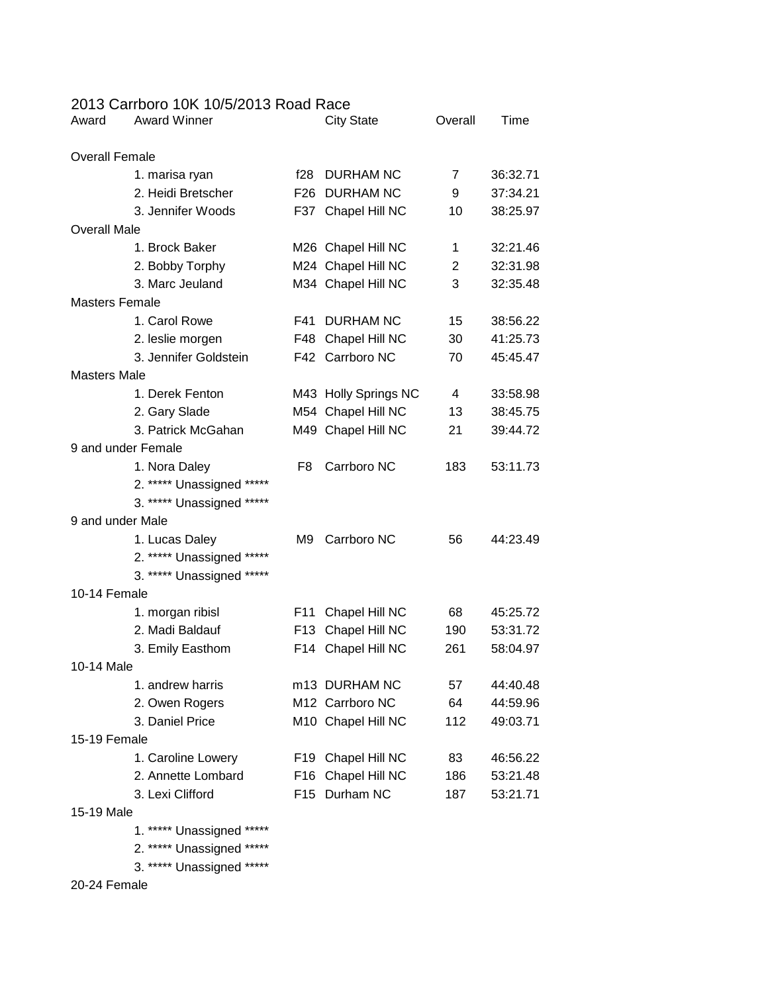## 2013 Carrboro 10K 10/5/2013 Road Race

| Award                 | <b>Award Winner</b>       |                 | <b>City State</b>    | Overall        | Time     |
|-----------------------|---------------------------|-----------------|----------------------|----------------|----------|
| <b>Overall Female</b> |                           |                 |                      |                |          |
|                       | 1. marisa ryan            | f28             | <b>DURHAM NC</b>     | $\overline{7}$ | 36:32.71 |
|                       | 2. Heidi Bretscher        |                 | F26 DURHAM NC        | 9              | 37:34.21 |
|                       | 3. Jennifer Woods         |                 | F37 Chapel Hill NC   | 10             | 38:25.97 |
| <b>Overall Male</b>   |                           |                 |                      |                |          |
|                       | 1. Brock Baker            |                 | M26 Chapel Hill NC   | 1              | 32:21.46 |
|                       | 2. Bobby Torphy           |                 | M24 Chapel Hill NC   | 2              | 32:31.98 |
|                       | 3. Marc Jeuland           |                 | M34 Chapel Hill NC   | 3              | 32:35.48 |
| <b>Masters Female</b> |                           |                 |                      |                |          |
|                       | 1. Carol Rowe             | F41             | <b>DURHAM NC</b>     | 15             | 38:56.22 |
|                       | 2. leslie morgen          |                 | F48 Chapel Hill NC   | 30             | 41:25.73 |
|                       | 3. Jennifer Goldstein     |                 | F42 Carrboro NC      | 70             | 45:45.47 |
| <b>Masters Male</b>   |                           |                 |                      |                |          |
|                       | 1. Derek Fenton           |                 | M43 Holly Springs NC | 4              | 33:58.98 |
|                       | 2. Gary Slade             |                 | M54 Chapel Hill NC   | 13             | 38:45.75 |
|                       | 3. Patrick McGahan        |                 | M49 Chapel Hill NC   | 21             | 39:44.72 |
|                       | 9 and under Female        |                 |                      |                |          |
|                       | 1. Nora Daley             | F8.             | Carrboro NC          | 183            | 53:11.73 |
|                       | 2. ***** Unassigned ***** |                 |                      |                |          |
|                       | 3. ***** Unassigned ***** |                 |                      |                |          |
| 9 and under Male      |                           |                 |                      |                |          |
|                       | 1. Lucas Daley            | M9              | Carrboro NC          | 56             | 44:23.49 |
|                       | 2. ***** Unassigned ***** |                 |                      |                |          |
|                       | 3. ***** Unassigned ***** |                 |                      |                |          |
| 10-14 Female          |                           |                 |                      |                |          |
|                       | 1. morgan ribisl          | F <sub>11</sub> | Chapel Hill NC       | 68             | 45:25.72 |
|                       | 2. Madi Baldauf           |                 | F13 Chapel Hill NC   | 190            | 53:31.72 |
|                       | 3. Emily Easthom          |                 | F14 Chapel Hill NC   | 261            | 58:04.97 |
| 10-14 Male            |                           |                 |                      |                |          |
|                       | 1. andrew harris          |                 | m13 DURHAM NC        | 57             | 44:40.48 |
|                       | 2. Owen Rogers            |                 | M12 Carrboro NC      | 64             | 44:59.96 |
|                       | 3. Daniel Price           |                 | M10 Chapel Hill NC   | 112            | 49:03.71 |
| 15-19 Female          |                           |                 |                      |                |          |
|                       | 1. Caroline Lowery        |                 | F19 Chapel Hill NC   | 83             | 46:56.22 |
|                       | 2. Annette Lombard        | F16             | Chapel Hill NC       | 186            | 53:21.48 |
|                       | 3. Lexi Clifford          |                 | F15 Durham NC        | 187            | 53:21.71 |
| 15-19 Male            |                           |                 |                      |                |          |
|                       | 1. ***** Unassigned ***** |                 |                      |                |          |

2. \*\*\*\*\* Unassigned \*\*\*\*\*

3. \*\*\*\*\* Unassigned \*\*\*\*\*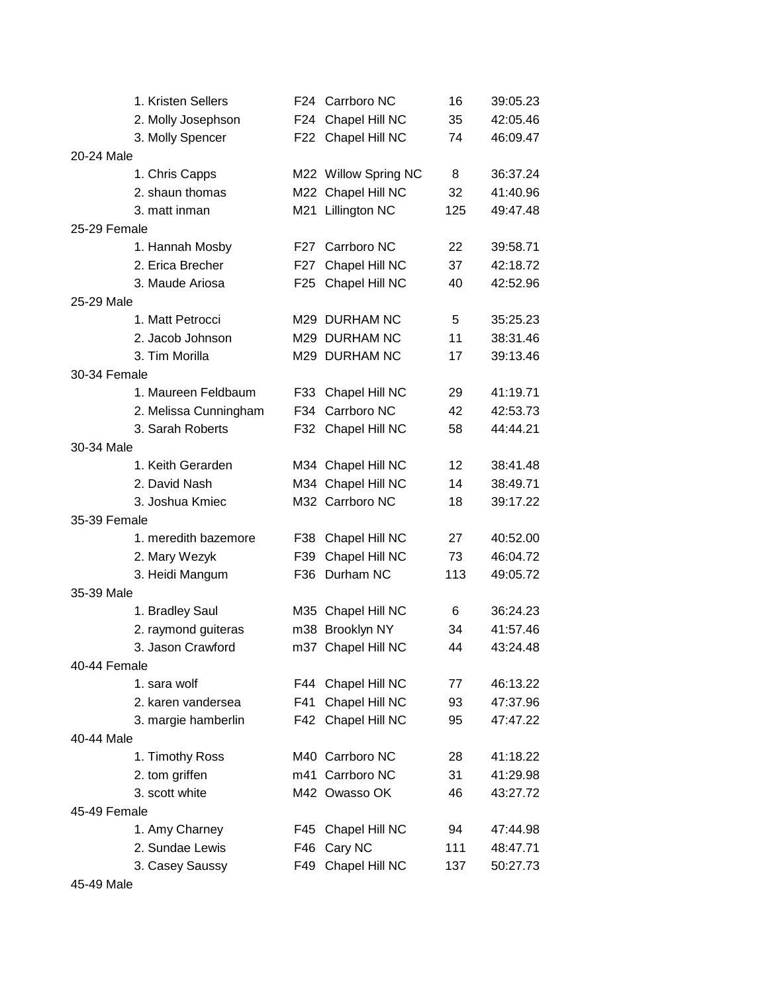|              | 1. Kristen Sellers    |       | F24 Carrboro NC      | 16  | 39:05.23 |  |
|--------------|-----------------------|-------|----------------------|-----|----------|--|
|              | 2. Molly Josephson    |       | F24 Chapel Hill NC   | 35  | 42:05.46 |  |
|              | 3. Molly Spencer      |       | F22 Chapel Hill NC   | 74  | 46:09.47 |  |
| 20-24 Male   |                       |       |                      |     |          |  |
|              | 1. Chris Capps        |       | M22 Willow Spring NC | 8   | 36:37.24 |  |
|              | 2. shaun thomas       |       | M22 Chapel Hill NC   | 32  | 41:40.96 |  |
|              | 3. matt inman         |       | M21 Lillington NC    | 125 | 49:47.48 |  |
| 25-29 Female |                       |       |                      |     |          |  |
|              | 1. Hannah Mosby       |       | F27 Carrboro NC      | 22  | 39:58.71 |  |
|              | 2. Erica Brecher      |       | F27 Chapel Hill NC   | 37  | 42:18.72 |  |
|              | 3. Maude Ariosa       |       | F25 Chapel Hill NC   | 40  | 42:52.96 |  |
| 25-29 Male   |                       |       |                      |     |          |  |
|              | 1. Matt Petrocci      |       | M29 DURHAM NC        | 5   | 35:25.23 |  |
|              | 2. Jacob Johnson      |       | M29 DURHAM NC        | 11  | 38:31.46 |  |
|              | 3. Tim Morilla        |       | M29 DURHAM NC        | 17  | 39:13.46 |  |
| 30-34 Female |                       |       |                      |     |          |  |
|              | 1. Maureen Feldbaum   |       | F33 Chapel Hill NC   | 29  | 41:19.71 |  |
|              | 2. Melissa Cunningham |       | F34 Carrboro NC      | 42  | 42:53.73 |  |
|              | 3. Sarah Roberts      |       | F32 Chapel Hill NC   | 58  | 44:44.21 |  |
| 30-34 Male   |                       |       |                      |     |          |  |
|              | 1. Keith Gerarden     |       | M34 Chapel Hill NC   | 12  | 38:41.48 |  |
|              | 2. David Nash         |       | M34 Chapel Hill NC   | 14  | 38:49.71 |  |
|              | 3. Joshua Kmiec       |       | M32 Carrboro NC      | 18  | 39:17.22 |  |
| 35-39 Female |                       |       |                      |     |          |  |
|              | 1. meredith bazemore  |       | F38 Chapel Hill NC   | 27  | 40:52.00 |  |
|              | 2. Mary Wezyk         |       | F39 Chapel Hill NC   | 73  | 46:04.72 |  |
|              | 3. Heidi Mangum       |       | F36 Durham NC        | 113 | 49:05.72 |  |
| 35-39 Male   |                       |       |                      |     |          |  |
|              | 1. Bradley Saul       |       | M35 Chapel Hill NC   | 6   | 36:24.23 |  |
|              | 2. raymond guiteras   |       | m38 Brooklyn NY      | 34  | 41:57.46 |  |
|              | 3. Jason Crawford     |       | m37 Chapel Hill NC   | 44  | 43:24.48 |  |
| 40-44 Female |                       |       |                      |     |          |  |
|              | 1. sara wolf          |       | F44 Chapel Hill NC   | 77  | 46:13.22 |  |
|              | 2. karen vandersea    | F41   | Chapel Hill NC       | 93  | 47:37.96 |  |
|              | 3. margie hamberlin   |       | F42 Chapel Hill NC   | 95  | 47:47.22 |  |
| 40-44 Male   |                       |       |                      |     |          |  |
|              | 1. Timothy Ross       |       | M40 Carrboro NC      | 28  | 41:18.22 |  |
|              | 2. tom griffen        |       | m41 Carrboro NC      | 31  | 41:29.98 |  |
|              | 3. scott white        |       | M42 Owasso OK        | 46  | 43:27.72 |  |
| 45-49 Female |                       |       |                      |     |          |  |
|              | 1. Amy Charney        |       | F45 Chapel Hill NC   | 94  | 47:44.98 |  |
|              | 2. Sundae Lewis       | F46 I | Cary NC              | 111 | 48:47.71 |  |
|              | 3. Casey Saussy       |       | F49 Chapel Hill NC   | 137 | 50:27.73 |  |
|              |                       |       |                      |     |          |  |

45-49 Male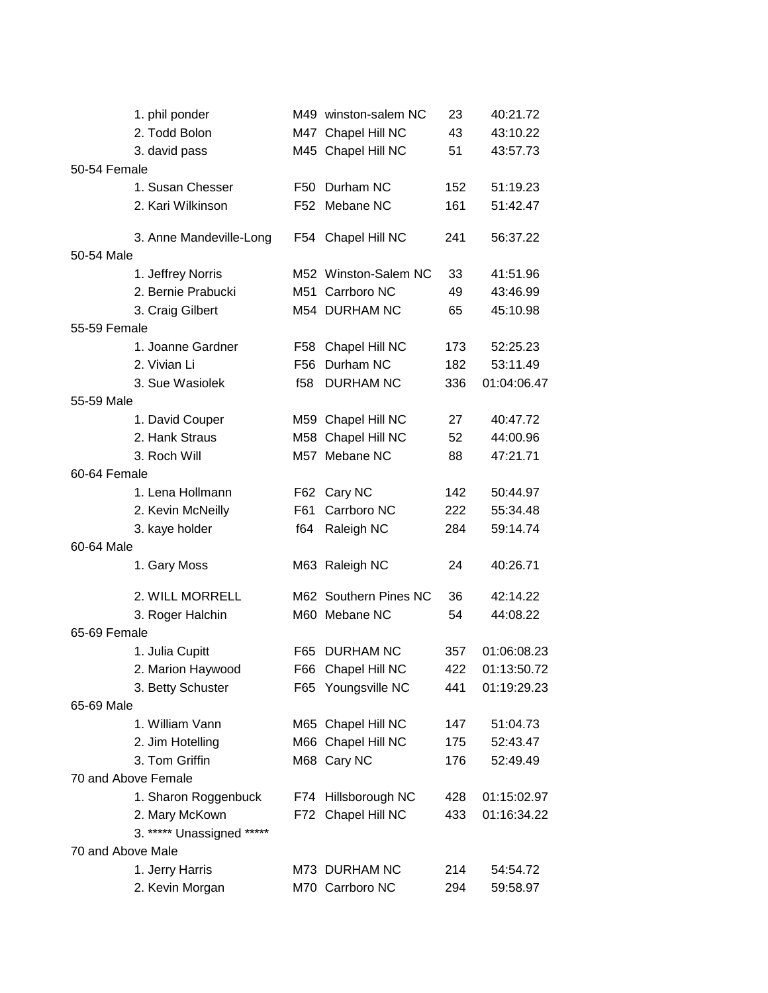|                   | 1. phil ponder            |     | M49 winston-salem NC  | 23  | 40:21.72    |
|-------------------|---------------------------|-----|-----------------------|-----|-------------|
|                   | 2. Todd Bolon             |     | M47 Chapel Hill NC    | 43  | 43:10.22    |
|                   | 3. david pass             |     | M45 Chapel Hill NC    | 51  | 43:57.73    |
| 50-54 Female      |                           |     |                       |     |             |
|                   | 1. Susan Chesser          | F50 | Durham NC             | 152 | 51:19.23    |
|                   | 2. Kari Wilkinson         |     | F52 Mebane NC         | 161 | 51:42.47    |
|                   | 3. Anne Mandeville-Long   |     | F54 Chapel Hill NC    | 241 | 56:37.22    |
| 50-54 Male        |                           |     |                       |     |             |
|                   | 1. Jeffrey Norris         |     | M52 Winston-Salem NC  | 33  | 41:51.96    |
|                   | 2. Bernie Prabucki        |     | M51 Carrboro NC       | 49  | 43:46.99    |
|                   | 3. Craig Gilbert          |     | M54 DURHAM NC         | 65  | 45:10.98    |
| 55-59 Female      |                           |     |                       |     |             |
|                   | 1. Joanne Gardner         |     | F58 Chapel Hill NC    | 173 | 52:25.23    |
|                   | 2. Vivian Li              | F56 | Durham NC             | 182 | 53:11.49    |
|                   | 3. Sue Wasiolek           | f58 | <b>DURHAM NC</b>      | 336 | 01:04:06.47 |
| 55-59 Male        |                           |     |                       |     |             |
|                   | 1. David Couper           |     | M59 Chapel Hill NC    | 27  | 40:47.72    |
|                   | 2. Hank Straus            |     | M58 Chapel Hill NC    | 52  | 44:00.96    |
|                   | 3. Roch Will              |     | M57 Mebane NC         | 88  | 47:21.71    |
| 60-64 Female      |                           |     |                       |     |             |
|                   | 1. Lena Hollmann          | F62 | Cary NC               | 142 | 50:44.97    |
|                   | 2. Kevin McNeilly         | F61 | Carrboro NC           | 222 | 55:34.48    |
|                   | 3. kaye holder            | f64 | Raleigh NC            | 284 | 59:14.74    |
| 60-64 Male        |                           |     |                       |     |             |
|                   | 1. Gary Moss              |     | M63 Raleigh NC        | 24  | 40:26.71    |
|                   | 2. WILL MORRELL           |     | M62 Southern Pines NC | 36  | 42:14.22    |
|                   | 3. Roger Halchin          |     | M60 Mebane NC         | 54  | 44:08.22    |
| 65-69 Female      |                           |     |                       |     |             |
|                   | 1. Julia Cupitt           |     | F65 DURHAM NC         | 357 | 01:06:08.23 |
|                   | 2. Marion Haywood         |     | F66 Chapel Hill NC    | 422 | 01:13:50.72 |
|                   | 3. Betty Schuster         |     | F65 Youngsville NC    | 441 | 01:19:29.23 |
| 65-69 Male        |                           |     |                       |     |             |
|                   | 1. William Vann           |     | M65 Chapel Hill NC    | 147 | 51:04.73    |
|                   | 2. Jim Hotelling          |     | M66 Chapel Hill NC    | 175 | 52:43.47    |
|                   | 3. Tom Griffin            |     | M68 Cary NC           | 176 | 52:49.49    |
|                   | 70 and Above Female       |     |                       |     |             |
|                   | 1. Sharon Roggenbuck      |     | F74 Hillsborough NC   | 428 | 01:15:02.97 |
|                   | 2. Mary McKown            |     | F72 Chapel Hill NC    | 433 | 01:16:34.22 |
|                   | 3. ***** Unassigned ***** |     |                       |     |             |
| 70 and Above Male |                           |     |                       |     |             |
|                   | 1. Jerry Harris           |     | M73 DURHAM NC         | 214 | 54:54.72    |
|                   | 2. Kevin Morgan           |     | M70 Carrboro NC       | 294 | 59:58.97    |